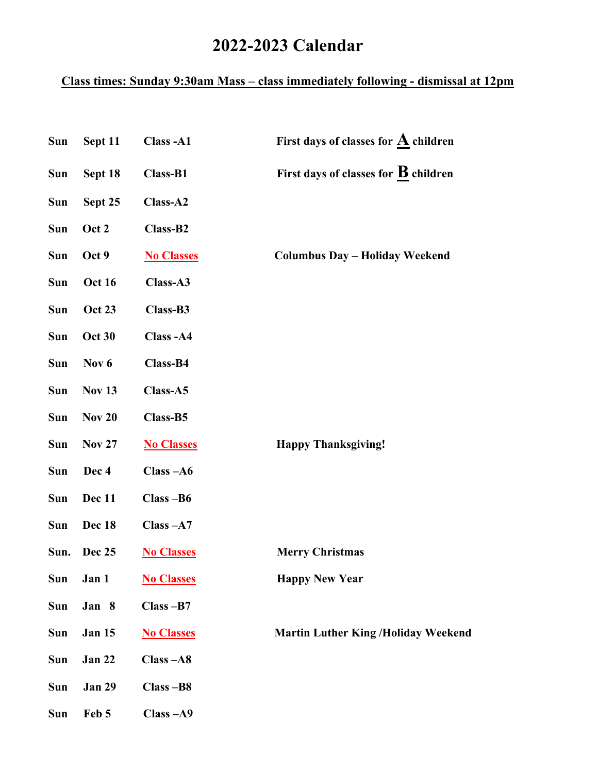## **2022-2023 Calendar**

## **Class times: Sunday 9:30am Mass – class immediately following - dismissal at 12pm**

| Sun        | Sept 11       | Class-A1          | First days of classes for $\underline{\mathbf{A}}$ children |
|------------|---------------|-------------------|-------------------------------------------------------------|
| Sun        | Sept 18       | Class-B1          | First days of classes for $\underline{\mathbf{B}}$ children |
| Sun        | Sept 25       | Class-A2          |                                                             |
| Sun        | Oct 2         | Class-B2          |                                                             |
| Sun        | Oct 9         | <b>No Classes</b> | <b>Columbus Day - Holiday Weekend</b>                       |
| Sun        | <b>Oct 16</b> | Class-A3          |                                                             |
| Sun        | <b>Oct 23</b> | Class-B3          |                                                             |
| Sun        | <b>Oct 30</b> | Class-A4          |                                                             |
| <b>Sun</b> | Nov 6         | Class-B4          |                                                             |
| Sun        | <b>Nov 13</b> | Class-A5          |                                                             |
| Sun        | <b>Nov 20</b> | Class-B5          |                                                             |
| Sun        | <b>Nov 27</b> | <b>No Classes</b> | <b>Happy Thanksgiving!</b>                                  |
| Sun        | Dec 4         | $Class - A6$      |                                                             |
| Sun        | Dec 11        | Class-B6          |                                                             |
| Sun        | Dec 18        | $Class - A7$      |                                                             |
| Sun.       | Dec 25        | <b>No Classes</b> | <b>Merry Christmas</b>                                      |
| <b>Sun</b> | Jan 1         | <b>No Classes</b> | <b>Happy New Year</b>                                       |
| Sun        | Jan 8         | $Class - B7$      |                                                             |
| Sun        | <b>Jan 15</b> | <b>No Classes</b> | <b>Martin Luther King /Holiday Weekend</b>                  |
| Sun        | <b>Jan 22</b> | $Class - A8$      |                                                             |
| <b>Sun</b> | <b>Jan 29</b> | Class-B8          |                                                             |
| Sun        | Feb 5         | $Class - A9$      |                                                             |